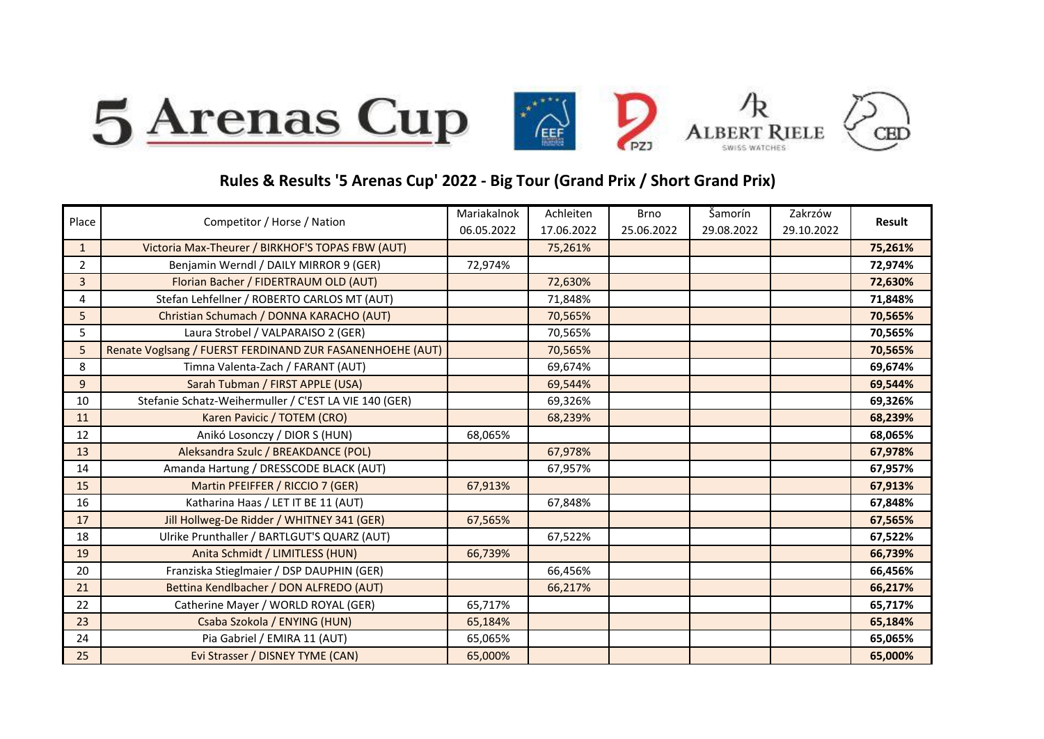

## **Rules & Results '5 Arenas Cup' 2022 - Big Tour (Grand Prix / Short Grand Prix)**

|                | Competitor / Horse / Nation                               | Mariakalnok | Achleiten  | <b>Brno</b> | Šamorín    | Zakrzów    | <b>Result</b> |
|----------------|-----------------------------------------------------------|-------------|------------|-------------|------------|------------|---------------|
| Place          |                                                           | 06.05.2022  | 17.06.2022 | 25.06.2022  | 29.08.2022 | 29.10.2022 |               |
| $\mathbf{1}$   | Victoria Max-Theurer / BIRKHOF'S TOPAS FBW (AUT)          |             | 75,261%    |             |            |            | 75,261%       |
| $\overline{2}$ | Benjamin Werndl / DAILY MIRROR 9 (GER)                    | 72,974%     |            |             |            |            | 72,974%       |
| 3              | Florian Bacher / FIDERTRAUM OLD (AUT)                     |             | 72,630%    |             |            |            | 72,630%       |
| 4              | Stefan Lehfellner / ROBERTO CARLOS MT (AUT)               |             | 71,848%    |             |            |            | 71,848%       |
| 5              | Christian Schumach / DONNA KARACHO (AUT)                  |             | 70,565%    |             |            |            | 70,565%       |
| 5              | Laura Strobel / VALPARAISO 2 (GER)                        |             | 70,565%    |             |            |            | 70,565%       |
| 5              | Renate Voglsang / FUERST FERDINAND ZUR FASANENHOEHE (AUT) |             | 70,565%    |             |            |            | 70,565%       |
| 8              | Timna Valenta-Zach / FARANT (AUT)                         |             | 69,674%    |             |            |            | 69,674%       |
| 9              | Sarah Tubman / FIRST APPLE (USA)                          |             | 69,544%    |             |            |            | 69,544%       |
| 10             | Stefanie Schatz-Weihermuller / C'EST LA VIE 140 (GER)     |             | 69,326%    |             |            |            | 69,326%       |
| 11             | Karen Pavicic / TOTEM (CRO)                               |             | 68,239%    |             |            |            | 68,239%       |
| 12             | Anikó Losonczy / DIOR S (HUN)                             | 68,065%     |            |             |            |            | 68,065%       |
| 13             | Aleksandra Szulc / BREAKDANCE (POL)                       |             | 67,978%    |             |            |            | 67,978%       |
| 14             | Amanda Hartung / DRESSCODE BLACK (AUT)                    |             | 67,957%    |             |            |            | 67,957%       |
| 15             | Martin PFEIFFER / RICCIO 7 (GER)                          | 67,913%     |            |             |            |            | 67,913%       |
| 16             | Katharina Haas / LET IT BE 11 (AUT)                       |             | 67,848%    |             |            |            | 67,848%       |
| 17             | Jill Hollweg-De Ridder / WHITNEY 341 (GER)                | 67,565%     |            |             |            |            | 67,565%       |
| 18             | Ulrike Prunthaller / BARTLGUT'S QUARZ (AUT)               |             | 67,522%    |             |            |            | 67,522%       |
| 19             | Anita Schmidt / LIMITLESS (HUN)                           | 66,739%     |            |             |            |            | 66,739%       |
| 20             | Franziska Stieglmaier / DSP DAUPHIN (GER)                 |             | 66,456%    |             |            |            | 66,456%       |
| 21             | Bettina Kendlbacher / DON ALFREDO (AUT)                   |             | 66,217%    |             |            |            | 66,217%       |
| 22             | Catherine Mayer / WORLD ROYAL (GER)                       | 65,717%     |            |             |            |            | 65,717%       |
| 23             | Csaba Szokola / ENYING (HUN)                              | 65,184%     |            |             |            |            | 65,184%       |
| 24             | Pia Gabriel / EMIRA 11 (AUT)                              | 65,065%     |            |             |            |            | 65,065%       |
| 25             | Evi Strasser / DISNEY TYME (CAN)                          | 65,000%     |            |             |            |            | 65,000%       |